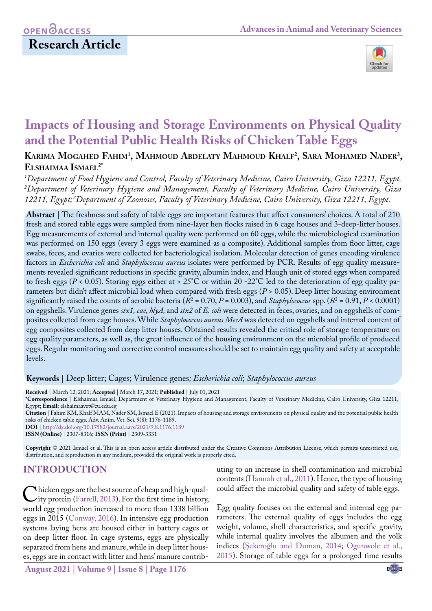# **OPEN**<sub>d</sub> **Research Article**



# **Impacts of Housing and Storage Environments on Physical Quality and the Potential Public Health Risks of Chicken Table Eggs**

**Karima Mogahed Fahim1 , Mahmoud Abdelaty Mahmoud Khalf2 , Sara Mohamed Nader3 , Elshaimaa Ismael2\***

*1 Department of Food Hygiene and Control, Faculty of Veterinary Medicine, Cairo University, Giza 12211, Egypt. 2 Department of Veterinary Hygiene and Management, Faculty of Veterinary Medicine, Cairo University, Giza 12211, Egypt; 3Department of Zoonoses, Faculty of Veterinary Medicine, Cairo University, Giza 12211, Egypt.*

**Abstract** | The freshness and safety of table eggs are important features that affect consumers' choices. A total of 210 fresh and stored table eggs were sampled from nine-layer hen flocks raised in 6 cage houses and 3-deep-litter houses. Egg measurements of external and internal quality were performed on 60 eggs, while the microbiological examination was performed on 150 eggs (every 3 eggs were examined as a composite). Additional samples from floor litter, cage swabs, feces, and ovaries were collected for bacteriological isolation. Molecular detection of genes encoding virulence factors in *Escherichia coli* and *Staphylococcus aureus* isolates were performed by PCR. Results of egg quality measurements revealed significant reductions in specific gravity, albumin index, and Haugh unit of stored eggs when compared to fresh eggs ( $P < 0.05$ ). Storing eggs either at > 25°C or within 20 -22°C led to the deterioration of egg quality parameters but didn't affect microbial load when compared with fresh eggs (*P* > 0.05). Deep litter housing environment significantly raised the counts of aerobic bacteria (*R*<sup>2</sup> = 0.70, *P* = 0.003), and *Staphylococcus* spp. (*R*<sup>2</sup> = 0.91, *P* < 0.0001) on eggshells. Virulence genes *stx1, eae, hlyA,* and *stx2* of *E. coli* were detected in feces, ovaries, and on eggshells of composites collected from cage houses. While *Staphylococcus aureus MecA* was detected on eggshells and internal content of egg composites collected from deep litter houses. Obtained results revealed the critical role of storage temperature on egg quality parameters, as well as, the great influence of the housing environment on the microbial profile of produced eggs. Regular monitoring and corrective control measures should be set to maintain egg quality and safety at acceptable levels.

## **Keywords** | Deep litter; Cages; Virulence genes*; Escherichia coli*; *Staphylococcus aureus*

**Received** | March 12, 2021; **Accepted** | March 17, 2021; **Published** | July 01, 2021

**\*Correspondence** | Elshaimaa Ismael, Department of Veterinary Hygiene and Management, Faculty of Veterinary Medicine, Cairo University, Giza 12211, Egypt; **Email:** elshaimaavet@cu.edu.eg

**Citation** | Fahim KM, Khalf MAM, Nader SM, Ismael E (2021). Impacts of housing and storage environments on physical quality and the potential public health risks of chicken table eggs. Adv. Anim. Vet. Sci. 9(8): 1176-1189.

**DOI** | [http://dx.doi.org/10.17582/journal.aavs/2021](http://dx.doi.org/10.17582/journal.aavs/2021/9.8.1176.1189)/9.8.1176.1189

**ISSN (Online)** | 2307-8316; **ISSN (Print)** | 2309-3331

**Copyright** © 2021 Ismael et al. This is an open access article distributed under the Creative Commons Attribution License, which permits unrestricted use, distribution, and reproduction in any medium, provided the original work is properly cited.

# **INTRODUCTION**

Chicken eggs are the best source of cheap and high-qual-<br>ity protein (Farrell, 2013). For the first time in history,<br>world egg production increased to more than 1338 billion world egg production increased to more than 1338 billion eggs in 2015 ([Conway, 2016](#page-12-0)). In intensive egg production systems laying hens are housed either in battery cages or on deep litter floor. In cage systems, eggs are physically separated from hens and manure, while in deep litter houses, eggs are in contact with litter and hens' manure contributing to an increase in shell contamination and microbial contents ([Hannah et al., 2011](#page-12-1)). Hence, the type of housing could affect the microbial quality and safety of table eggs.

Egg quality focuses on the external and internal egg parameters. The external quality of eggs includes the egg weight, volume, shell characteristics, and specific gravity, while internal quality involves the albumen and the yolk indices ([Şekeroğlu and Duman, 2014;](#page-13-0) [Ogunwole et al.,](#page-12-2) [2015\)](#page-12-2). Storage of table eggs for a prolonged time results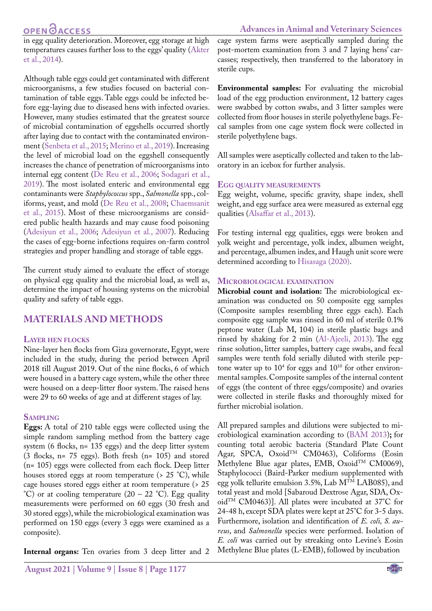### **Advances in Animal and Veterinary Sciences**

in egg quality deterioration. Moreover, egg storage at high temperatures causes further loss to the eggs' quality ([Akter](#page-11-0) [et al., 2014\)](#page-11-0).

Although table eggs could get contaminated with different microorganisms, a few studies focused on bacterial contamination of table eggs. Table eggs could be infected before egg-laying due to diseased hens with infected ovaries. However, many studies estimated that the greatest source of microbial contamination of eggshells occurred shortly after laying due to contact with the contaminated environment [\(Senbeta et al., 2015](#page-13-1); [Merino et al., 2019\)](#page-12-3). Increasing the level of microbial load on the eggshell consequently increases the chance of penetration of microorganisms into internal egg content ([De Reu et al., 2006](#page-12-4); Sodagari et al., 2019). The most isolated enteric and environmental egg contaminants were *Staphylococcus* spp., *Salmonella* spp., coliforms, yeast, and mold [\(De Reu et al., 2008](#page-12-5); [Chaemsanit](#page-12-6) [et al., 2015](#page-12-6)). Most of these microorganisms are considered public health hazards and may cause food poisoning [\(Adesiyun et al., 2006;](#page-11-1) [Adesiyun et al., 2007](#page-11-1)). Reducing the cases of egg-borne infections requires on-farm control strategies and proper handling and storage of table eggs.

The current study aimed to evaluate the effect of storage on physical egg quality and the microbial load, as well as, determine the impact of housing systems on the microbial quality and safety of table eggs.

# **MATERIALS AND METHODS**

#### **Layer hen flocks**

Nine-layer hen flocks from Giza governorate, Egypt, were included in the study, during the period between April 2018 till August 2019. Out of the nine flocks, 6 of which were housed in a battery cage system, while the other three were housed on a deep-litter floor system. The raised hens were 29 to 60 weeks of age and at different stages of lay.

#### **Sampling**

**Eggs:** A total of 210 table eggs were collected using the simple random sampling method from the battery cage system (6 flocks, n= 135 eggs) and the deep litter system (3 flocks, n= 75 eggs). Both fresh (n= 105) and stored (n= 105) eggs were collected from each flock. Deep litter houses stored eggs at room temperature (> 25 °C), while cage houses stored eggs either at room temperature (> 25  $^{\circ}$ C) or at cooling temperature (20 – 22  $^{\circ}$ C). Egg quality measurements were performed on 60 eggs (30 fresh and 30 stored eggs), while the microbiological examination was performed on 150 eggs (every 3 eggs were examined as a composite).

**Internal organs:** Ten ovaries from 3 deep litter and 2

cage system farms were aseptically sampled during the post-mortem examination from 3 and 7 laying hens' carcasses; respectively, then transferred to the laboratory in sterile cups.

**Environmental samples:** For evaluating the microbial load of the egg production environment, 12 battery cages were swabbed by cotton swabs, and 3 litter samples were collected from floor houses in sterile polyethylene bags. Fecal samples from one cage system flock were collected in sterile polyethylene bags.

All samples were aseptically collected and taken to the laboratory in an icebox for further analysis.

### **Egg quality measurements**

Egg weight, volume, specific gravity, shape index, shell weight, and egg surface area were measured as external egg qualities ([Alsaffar et al., 2013](#page-11-2)).

For testing internal egg qualities, eggs were broken and yolk weight and percentage, yolk index, albumen weight, and percentage, albumen index, and Haugh unit score were determined according to [Hisasaga \(2020\).](#page-12-7)

### **Microbiological examination**

**Microbial count and isolation:** The microbiological examination was conducted on 50 composite egg samples (Composite samples resembling three eggs each). Each composite egg sample was rinsed in 60 ml of sterile 0.1% peptone water (Lab M, 104) in sterile plastic bags and rinsed by shaking for 2 min ([Al-Ajeeli, 2013](#page-11-3)). The egg rinse solution, litter samples, battery cage swabs, and fecal samples were tenth fold serially diluted with sterile peptone water up to  $10^4$  for eggs and  $10^{10}$  for other environmental samples. Composite samples of the internal content of eggs (the content of three eggs/composite) and ovaries were collected in sterile flasks and thoroughly mixed for further microbial isolation.

All prepared samples and dilutions were subjected to microbiological examination according to (BAM 2013)**;** for counting total aerobic bacteria (Standard Plate Count Agar, SPCA, Oxoid<sup>TM</sup> CM0463), Coliforms (Eosin Methylene Blue agar plates, EMB, Oxoid™ CM0069), Staphylococci (Baird-Parker medium supplemented with egg yolk tellurite emulsion 3.5%, Lab MTM LAB085), and total yeast and mold [Sabaroud Dextrose Agar, SDA, OxoidTM CM0463)]. All plates were incubated at 37°C for 24-48 h, except SDA plates were kept at 25°C for 3-5 days. Furthermore, isolation and identification of *E. coli, S. aureus*, and *Salmonella* species were performed. Isolation of *E. coli* was carried out by streaking onto Levine's Eosin Methylene Blue plates (L-EMB), followed by incubation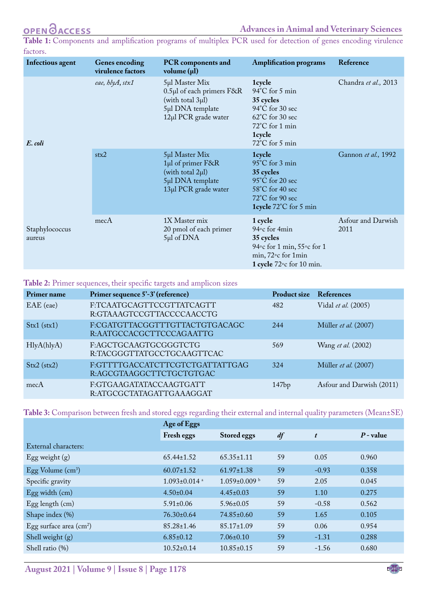<span id="page-2-0"></span>**Table 1:** Components and amplification programs of multiplex PCR used for detection of genes encoding virulence factors.

| Infectious agent         | <b>Genes encoding</b><br>virulence factors | <b>PCR</b> components and<br>volume $(\mu l)$                                                                      | <b>Amplification programs</b>                                                                                                                        | Reference                  |
|--------------------------|--------------------------------------------|--------------------------------------------------------------------------------------------------------------------|------------------------------------------------------------------------------------------------------------------------------------------------------|----------------------------|
| E. coli                  | eae, hlyA, stx1                            | 5µl Master Mix<br>$0.5\mu$ l of each primers $F&R$<br>(with total 3µl)<br>5µl DNA template<br>12µl PCR grade water | 1cycle<br>$94^{\circ}$ C for 5 min<br>35 cycles<br>$94^{\circ}$ C for 30 sec<br>62°C for 30 sec<br>72°C for 1 min<br><b>1cycle</b><br>72°C for 5 min | Chandra et al., 2013       |
|                          | stx2                                       | 5µl Master Mix<br>1µl of primer F&R<br>(with total 2µl)<br>5µl DNA template<br>13µl PCR grade water                | 1 <sub>cycle</sub><br>95°C for 3 min<br>35 cycles<br>95°C for 20 sec<br>58°C for 40 sec<br>72°C for 90 sec<br>1cycle 72°C for 5 min                  | Gannon et al., 1992        |
| Staphylococcus<br>aureus | mecA                                       | 1X Master mix<br>20 pmol of each primer<br>$5\mu l$ of DNA                                                         | 1 cycle<br>94° c for 4min<br>35 cycles<br>94° c for 1 min, 55° c for 1<br>min, 72°c for 1min<br>1 cycle $72$ °c for 10 min.                          | Asfour and Darwish<br>2011 |

#### <span id="page-2-1"></span>**Table 2:** Primer sequences, their specific targets and amplicon sizes

| Primer name          | Primer sequence 5'-3' (reference)                           | <b>Product size</b> | References                |
|----------------------|-------------------------------------------------------------|---------------------|---------------------------|
| EAE (eae)            | F:TCAATGCAGTTCCGTTATCAGTT<br>R:GTAAAGTCCGTTACCCCAACCTG      | 482                 | Vidal et al. (2005)       |
| $\text{Stx1}$ (stx1) | F:CGATGTTACGGTTTGTTACTGTGACAGC<br>R:AATGCCACGCTTCCCAGAATTG  | 244                 | Müller et al. (2007)      |
| HlyA(hlyA)           | F:AGCTGCAAGTGCGGGTCTG<br>R:TACGGGTTATGCCTGCAAGTTCAC         | 569                 | Wang et al. (2002)        |
| $Stx2$ (stx2)        | F:GTTTTGACCATCTTCGTCTGATTATTGAG<br>R:AGCGTAAGGCTTCTGCTGTGAC | 324                 | Müller et al. (2007)      |
| mecA                 | F:GTGAAGATATACCAAGTGATT<br>R:ATGCGCTATAGATTGAAAGGAT         | 147bp               | Asfour and Darwish (2011) |

#### <span id="page-2-2"></span>**Table 3:** Comparison between fresh and stored eggs regarding their external and internal quality parameters (Mean±SE)

|                                         | Age of Eggs                    |                     |    |                  |             |
|-----------------------------------------|--------------------------------|---------------------|----|------------------|-------------|
|                                         | Fresh eggs                     | Stored eggs         | df | $\boldsymbol{t}$ | $P$ - value |
| External characters:                    |                                |                     |    |                  |             |
| Egg weight $(g)$                        | $65.44 \pm 1.52$               | $65.35 \pm 1.11$    | 59 | 0.05             | 0.960       |
| Egg Volume $(cm3)$                      | $60.07 \pm 1.52$               | $61.97 \pm 1.38$    | 59 | $-0.93$          | 0.358       |
| Specific gravity                        | $1.093 \pm 0.014$ <sup>a</sup> | $1.059 \pm 0.009$ b | 59 | 2.05             | 0.045       |
| Egg width (cm)                          | $4.50\pm0.04$                  | $4.45 \pm 0.03$     | 59 | 1.10             | 0.275       |
| $Egg$ length $(cm)$                     | $5.91 \pm 0.06$                | $5.96 \pm 0.05$     | 59 | $-0.58$          | 0.562       |
| Shape index (%)                         | $76.30 \pm 0.64$               | $74.85 \pm 0.60$    | 59 | 1.65             | 0.105       |
| Egg surface area $\text{(cm}^2\text{)}$ | $85.28 \pm 1.46$               | $85.17 \pm 1.09$    | 59 | 0.06             | 0.954       |
| Shell weight (g)                        | $6.85 \pm 0.12$                | $7.06 \pm 0.10$     | 59 | $-1.31$          | 0.288       |
| Shell ratio $(\%)$                      | $10.52 \pm 0.14$               | $10.85 \pm 0.15$    | 59 | $-1.56$          | 0.680       |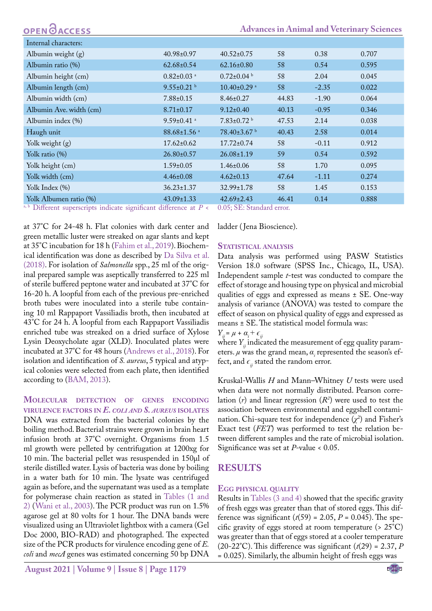| <b>OPEN GACCESS</b> | <b>Advances in Animal and Veterinary Sciences</b> |
|---------------------|---------------------------------------------------|
|                     |                                                   |

| Internal characters:                                            |                               |                             |       |         |       |
|-----------------------------------------------------------------|-------------------------------|-----------------------------|-------|---------|-------|
| Albumin weight (g)                                              | $40.98 \pm 0.97$              | $40.52 \pm 0.75$            | 58    | 0.38    | 0.707 |
| Albumin ratio (%)                                               | $62.68 \pm 0.54$              | $62.16 \pm 0.80$            | 58    | 0.54    | 0.595 |
| Albumin height (cm)                                             | $0.82 \pm 0.03$ <sup>a</sup>  | $0.72 \pm 0.04$ b           | 58    | 2.04    | 0.045 |
| Albumin length (cm)                                             | $9.55 \pm 0.21$               | $10.40\pm0.29$ <sup>a</sup> | 58    | $-2.35$ | 0.022 |
| Albumin width (cm)                                              | $7.88 \pm 0.15$               | $8.46 \pm 0.27$             | 44.83 | $-1.90$ | 0.064 |
| Albumin Ave. width (cm)                                         | $8.71 \pm 0.17$               | $9.12 \pm 0.40$             | 40.13 | $-0.95$ | 0.346 |
| Albumin index (%)                                               | $9.59 \pm 0.41$ <sup>a</sup>  | $7.83 \pm 0.72$ b           | 47.53 | 2.14    | 0.038 |
| Haugh unit                                                      | $88.68 \pm 1.56$ <sup>a</sup> | $78.40\pm3.67$ <sup>b</sup> | 40.43 | 2.58    | 0.014 |
| Yolk weight $(g)$                                               | $17.62 \pm 0.62$              | $17.72 \pm 0.74$            | 58    | $-0.11$ | 0.912 |
| Yolk ratio (%)                                                  | $26.80 \pm 0.57$              | $26.08 \pm 1.19$            | 59    | 0.54    | 0.592 |
| Yolk height (cm)                                                | $1.59 \pm 0.05$               | $1.46 \pm 0.06$             | 58    | 1.70    | 0.095 |
| Yolk width (cm)                                                 | $4.46 \pm 0.08$               | $4.62 \pm 0.13$             | 47.64 | $-1.11$ | 0.274 |
| Yolk Index (%)                                                  | $36.23 \pm 1.37$              | $32.99 \pm 1.78$            | 58    | 1.45    | 0.153 |
| Yolk Albumen ratio (%)<br>$\alpha$ b $\Gamma$ $\gamma$ $\alpha$ | $43.09 \pm 1.33$              | $42.69 \pm 2.43$            | 46.41 | 0.14    | 0.888 |

<sup>a, b</sup> Different superscripts indicate significant difference at *P* < 0.05; SE: Standard error.

at 37°C for 24-48 h. Flat colonies with dark center and green metallic luster were streaked on agar slants and kept at 35°C incubation for 18 h ([Fahim et al., 2019\)](#page-12-8). Biochemical identification was done as described by [Da Silva et al.](#page-12-9) [\(2018\).](#page-12-9) For isolation of *Salmonella* spp., 25 ml of the original prepared sample was aseptically transferred to 225 ml of sterile buffered peptone water and incubated at 37°C for 16-20 h. A loopful from each of the previous pre-enriched broth tubes were inoculated into a sterile tube containing 10 ml Rappaport Vassiliadis broth, then incubated at 43°C for 24 h. A loopful from each Rappaport Vassiliadis enriched tube was streaked on a dried surface of Xylose Lysin Deoxycholate agar (XLD). Inoculated plates were incubated at 37°C for 48 hours [\(Andrews et al., 2018](#page-12-10)). For isolation and identification of *S. aureus*, 5 typical and atypical colonies were selected from each plate, then identified according to (BAM, 2013).

**Molecular detection of genes encoding virulence factors in** *E. coli and S. aureus* **isolates** DNA was extracted from the bacterial colonies by the boiling method. Bacterial strains were grown in brain heart infusion broth at 37°C overnight. Organisms from 1.5 ml growth were pelleted by centrifugation at 1200xg for 10 min. The bacterial pellet was resuspended in 150μl of sterile distilled water. Lysis of bacteria was done by boiling in a water bath for 10 min. The lysate was centrifuged again as before, and the supernatant was used as a template for polymerase chain reaction as stated in [Tables \(1](#page-2-0) [and](#page-2-1) [2\)](#page-2-1) ([Wani et al., 2003](#page-13-2)). The PCR product was run on 1.5% agarose gel at 80 volts for 1 hour. The DNA bands were visualized using an Ultraviolet lightbox with a camera (Gel Doc 2000, BIO-RAD) and photographed. The expected size of the PCR products for virulence encoding gene of *E. coli* and *mecA* genes was estimated concerning 50 bp DNA

ladder ( Jena Bioscience).

#### **Statistical analysis**

Data analysis was performed using PASW Statistics Version 18.0 software (SPSS Inc., Chicago, IL, USA). Independent sample *t*-test was conducted to compare the effect of storage and housing type on physical and microbial qualities of eggs and expressed as means ± SE. One-way analysis of variance (ANOVA) was tested to compare the effect of season on physical quality of eggs and expressed as means ± SE. The statistical model formula was:

$$
Y_{ij} = \mu + \alpha_i + \epsilon_{ij}
$$

where *Y<sub>ij</sub>* indicated the measurement of egg quality parameters. *μ* was the grand mean, *α<sup>i</sup>* represented the season's effect, and  $\epsilon$ <sup>*i*</sup> stated the random error.

Kruskal-Wallis *H* and Mann–Whitney *U* tests were used when data were not normally distributed. Pearson correlation (*r*) and linear regression (*R2* ) were used to test the association between environmental and eggshell contamination. Chi-square test for independence  $(\chi^2)$  and Fisher's Exact test (*FET*) was performed to test the relation between different samples and the rate of microbial isolation. Significance was set at *P*-value < 0.05.

## **RESULTS**

#### **Egg physical quality**

Results in [Tables \(3](#page-2-2) [and 4\)](#page-4-0) showed that the specific gravity of fresh eggs was greater than that of stored eggs. This difference was significant  $(t(59) = 2.05, P = 0.045)$ . The specific gravity of eggs stored at room temperature (> 25°C) was greater than that of eggs stored at a cooler temperature (20-22°C). This difference was significant  $(t(29) = 2.37, P$ = 0.025). Similarly, the albumin height of fresh eggs was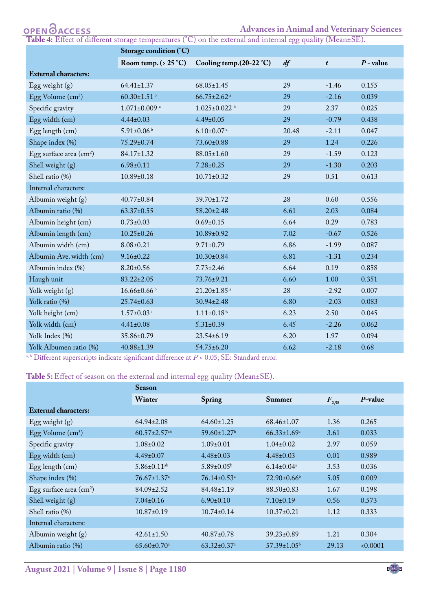## **Advances in Animal and Veterinary Sciences**

<span id="page-4-0"></span>**Table 4:** Effect of different storage temperatures (°C) on the external and internal egg quality (Mean±SE).

|                                     | Storage condition (°C)         |                               |       |                  |             |  |  |
|-------------------------------------|--------------------------------|-------------------------------|-------|------------------|-------------|--|--|
|                                     | Room temp. $( > 25 °C)$        | Cooling temp.(20-22 °C)       | df    | $\boldsymbol{t}$ | $P$ - value |  |  |
| <b>External characters:</b>         |                                |                               |       |                  |             |  |  |
| Egg weight $(g)$                    | $64.41 \pm 1.37$               | $68.05 \pm 1.45$              | 29    | $-1.46$          | 0.155       |  |  |
| Egg Volume $(cm3)$                  | $60.30 \pm 1.51$ <sup>b</sup>  | $66.75 \pm 2.62$ <sup>a</sup> | 29    | $-2.16$          | 0.039       |  |  |
| Specific gravity                    | $1.071 \pm 0.009$ <sup>a</sup> | $1.025 \pm 0.022$ b           | 29    | 2.37             | 0.025       |  |  |
| Egg width (cm)                      | $4.44 \pm 0.03$                | $4.49 \pm 0.05$               | 29    | $-0.79$          | 0.438       |  |  |
| Egg length (cm)                     | $5.91 \pm 0.06^{\mathrm{b}}$   | $6.10\pm0.07$ <sup>a</sup>    | 20.48 | $-2.11$          | 0.047       |  |  |
| Shape index (%)                     | 75.29±0.74                     | 73.60±0.88                    | 29    | 1.24             | 0.226       |  |  |
| Egg surface area (cm <sup>2</sup> ) | 84.17±1.32                     | 88.05±1.60                    | 29    | $-1.59$          | 0.123       |  |  |
| Shell weight (g)                    | $6.98 \pm 0.11$                | $7.28 \pm 0.25$               | 29    | $-1.30$          | 0.203       |  |  |
| Shell ratio (%)                     | $10.89 \pm 0.18$               | $10.71 \pm 0.32$              | 29    | 0.51             | 0.613       |  |  |
| Internal characters:                |                                |                               |       |                  |             |  |  |
| Albumin weight (g)                  | $40.77 \pm 0.84$               | 39.70±1.72                    | 28    | 0.60             | 0.556       |  |  |
| Albumin ratio (%)                   | $63.37 \pm 0.55$               | 58.20±2.48                    | 6.61  | 2.03             | 0.084       |  |  |
| Albumin height (cm)                 | $0.73 \pm 0.03$                | $0.69 \pm 0.15$               | 6.64  | 0.29             | 0.783       |  |  |
| Albumin length (cm)                 | $10.25 \pm 0.26$               | 10.89±0.92                    | 7.02  | $-0.67$          | 0.526       |  |  |
| Albumin width (cm)                  | $8.08 \pm 0.21$                | $9.71 \pm 0.79$               | 6.86  | $-1.99$          | 0.087       |  |  |
| Albumin Ave. width (cm)             | $9.16 \pm 0.22$                | $10.30 \pm 0.84$              | 6.81  | $-1.31$          | 0.234       |  |  |
| Albumin index (%)                   | $8.20 \pm 0.56$                | $7.73 \pm 2.46$               | 6.64  | 0.19             | 0.858       |  |  |
| Haugh unit                          | $83.22 \pm 2.05$               | 73.76±9.21                    | 6.60  | 1.00             | 0.351       |  |  |
| Yolk weight (g)                     | $16.66 \pm 0.66$               | $21.20 \pm 1.85$ <sup>a</sup> | 28    | $-2.92$          | 0.007       |  |  |
| Yolk ratio (%)                      | 25.74±0.63                     | 30.94±2.48                    | 6.80  | $-2.03$          | 0.083       |  |  |
| Yolk height (cm)                    | $1.57 \pm 0.03$ <sup>a</sup>   | $1.11 \pm 0.18$ <sup>b</sup>  | 6.23  | 2.50             | 0.045       |  |  |
| Yolk width (cm)                     | $4.41 \pm 0.08$                | $5.31 \pm 0.39$               | 6.45  | $-2.26$          | 0.062       |  |  |
| Yolk Index (%)                      | 35.86±0.79                     | 23.54±6.19                    | 6.20  | 1.97             | 0.094       |  |  |
| Yolk Albumen ratio (%)              | 40.88±1.39                     | $54.75 \pm 6.20$              | 6.62  | $-2.18$          | 0.68        |  |  |

 $a, b$  Different superscripts indicate significant difference at  $P < 0.05$ ; SE: Standard error.

## <span id="page-4-1"></span>Table 5: Effect of season on the external and internal egg quality (Mean±SE).

|                                         | <b>Season</b>                  |                               |                               |            |            |  |  |
|-----------------------------------------|--------------------------------|-------------------------------|-------------------------------|------------|------------|--|--|
|                                         | Winter                         | Spring                        | Summer                        | $F_{2,58}$ | $P$ -value |  |  |
| <b>External characters:</b>             |                                |                               |                               |            |            |  |  |
| Egg weight $(g)$                        | $64.94 \pm 2.08$               | $64.60 \pm 1.25$              | $68.46 \pm 1.07$              | 1.36       | 0.265      |  |  |
| Egg Volume $(cm3)$                      | $60.57 \pm 2.57$ <sup>ab</sup> | $59.60 \pm 1.27$ <sup>b</sup> | $66.33 \pm 1.69^{\mathrm{a}}$ | 3.61       | 0.033      |  |  |
| Specific gravity                        | $1.08 \pm 0.02$                | $1.09 \pm 0.01$               | $1.04\pm0.02$                 | 2.97       | 0.059      |  |  |
| Egg width (cm)                          | $4.49\pm0.07$                  | $4.48 \pm 0.03$               | $4.48 \pm 0.03$               | 0.01       | 0.989      |  |  |
| $Egg$ length $(cm)$                     | $5.86 \pm 0.11$ <sup>ab</sup>  | $5.89 \pm 0.05^{\rm b}$       | $6.14 \pm 0.04$ <sup>a</sup>  | 3.53       | 0.036      |  |  |
| Shape index (%)                         | $76.67 \pm 1.37$ <sup>a</sup>  | $76.14 \pm 0.53$ <sup>a</sup> | $72.90\pm0.66^{\rm b}$        | 5.05       | 0.009      |  |  |
| Egg surface area $\text{(cm}^2\text{)}$ | $84.09 \pm 2.52$               | $84.48 \pm 1.19$              | $88.50 \pm 0.83$              | 1.67       | 0.198      |  |  |
| Shell weight $(g)$                      | $7.04 \pm 0.16$                | $6.90 \pm 0.10$               | $7.10\pm0.19$                 | 0.56       | 0.573      |  |  |
| Shell ratio (%)                         | $10.87 \pm 0.19$               | $10.74 \pm 0.14$              | $10.37 \pm 0.21$              | 1.12       | 0.333      |  |  |
| Internal characters:                    |                                |                               |                               |            |            |  |  |
| Albumin weight (g)                      | $42.61 \pm 1.50$               | $40.87 \pm 0.78$              | $39.23 \pm 0.89$              | 1.21       | 0.304      |  |  |
| Albumin ratio (%)                       | $65.60 \pm 0.70$ <sup>a</sup>  | $63.32 \pm 0.37$ <sup>a</sup> | $57.39 \pm 1.05^{\rm b}$      | 29.13      | 0.0001     |  |  |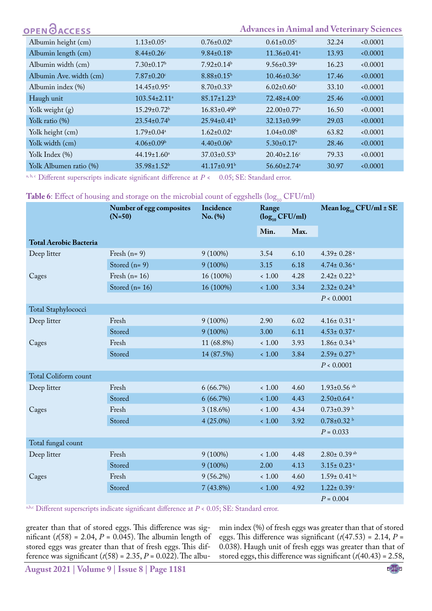| OPEN OACCESS            |                               |                               | <b>Advances in Animal and Veterinary Sciences</b> |       |        |
|-------------------------|-------------------------------|-------------------------------|---------------------------------------------------|-------|--------|
| Albumin height (cm)     | $1.13 \pm 0.05^{\text{a}}$    | $0.76 \pm 0.02^b$             | $0.61 \pm 0.05$ <sup>c</sup>                      | 32.24 | 0.0001 |
| Albumin length (cm)     | $8.44 \pm 0.26$               | $9.84 \pm 0.18$ <sup>b</sup>  | $11.36 \pm 0.41$ <sup>a</sup>                     | 13.93 | 0.0001 |
| Albumin width (cm)      | $7.30 \pm 0.17$ <sup>b</sup>  | $7.92 \pm 0.14$ <sup>b</sup>  | $9.56 \pm 0.39$ <sup>a</sup>                      | 16.23 | 0.0001 |
| Albumin Ave. width (cm) | $7.87 \pm 0.20$ <sup>c</sup>  | $8.88 \pm 0.15^b$             | $10.46 \pm 0.36^{\text{a}}$                       | 17.46 | 0.0001 |
| Albumin index (%)       | $14.45 \pm 0.95$ <sup>a</sup> | $8.70 \pm 0.33^b$             | $6.02 \pm 0.60$ <sup>c</sup>                      | 33.10 | 0.0001 |
| Haugh unit              | $103.54 \pm 2.11^a$           | $85.17 \pm 1.23$ <sup>b</sup> | $72.48 \pm 4.00$ <sup>c</sup>                     | 25.46 | 0.0001 |
| Yolk weight (g)         | $15.29 \pm 0.72^b$            | $16.83 \pm 0.49^b$            | $22.00 \pm 0.77$ <sup>a</sup>                     | 16.50 | 0.0001 |
| Yolk ratio (%)          | $23.54 \pm 0.74^b$            | $25.94\pm0.41^{\rm b}$        | $32.13 \pm 0.99^{\mathrm{a}}$                     | 29.03 | 0.0001 |
| Yolk height (cm)        | $1.79 \pm 0.04^a$             | $1.62 \pm 0.02^a$             | $1.04 \pm 0.08$ <sup>b</sup>                      | 63.82 | 0.0001 |
| Yolk width (cm)         | $4.06 \pm 0.09$ <sup>b</sup>  | $4.40 \pm 0.06$ <sup>b</sup>  | $5.30 \pm 0.17^{\text{a}}$                        | 28.46 | 0.0001 |
| Yolk Index (%)          | $44.19 \pm 1.60^a$            | $37.03 \pm 0.53^{\rm b}$      | $20.40 \pm 2.16$ <sup>c</sup>                     | 79.33 | 0.0001 |
| Yolk Albumen ratio (%)  | $35.98 \pm 1.52^b$            | $41.17\pm0.91b$               | $56.60 \pm 2.74$ <sup>a</sup>                     | 30.97 | 0.0001 |

a, b, c Different superscripts indicate significant difference at  $P < 0.05$ ; SE: Standard error.

#### <span id="page-5-0"></span>Table 6: Effect of housing and storage on the microbial count of eggshells (log<sub>10</sub> CFU/ml)

|                               | Number of egg composites<br>$(N=50)$ | Incidence<br>$No.$ (%) | Range<br>$(\log_{10} CFU/ml)$<br>Min.<br>Max. |      | Mean $log_{10}$ CFU/ml ± SE   |  |
|-------------------------------|--------------------------------------|------------------------|-----------------------------------------------|------|-------------------------------|--|
|                               |                                      |                        |                                               |      |                               |  |
| <b>Total Aerobic Bacteria</b> |                                      |                        |                                               |      |                               |  |
| Deep litter                   | Fresh $(n=9)$                        | $9(100\%)$             | 3.54                                          | 6.10 | $4.39 \pm 0.28$ <sup>a</sup>  |  |
|                               | Stored $(n=9)$                       | 9 (100%)               | 3.15                                          | 6.18 | $4.74 \pm 0.36$ <sup>a</sup>  |  |
| Cages                         | Fresh $(n=16)$                       | 16 (100%)              | < 1.00                                        | 4.28 | $2.42 \pm 0.22^{\mathrm{b}}$  |  |
|                               | Stored ( $n=16$ )                    | 16 (100%)              | < 1.00                                        | 3.34 | $2.32 \pm 0.24$               |  |
|                               |                                      |                        |                                               |      | P < 0.0001                    |  |
| Total Staphylococci           |                                      |                        |                                               |      |                               |  |
| Deep litter                   | Fresh                                | $9(100\%)$             | 2.90                                          | 6.02 | $4.16 \pm 0.31$ <sup>a</sup>  |  |
|                               | Stored                               | $9(100\%)$             | 3.00                                          | 6.11 | $4.53 \pm 0.37$ <sup>a</sup>  |  |
| Cages                         | Fresh                                | 11 (68.8%)             | < 1.00                                        | 3.93 | $1.86 \pm 0.34^{\mathrm{b}}$  |  |
|                               | Stored                               | 14 (87.5%)             | ~1.00                                         | 3.84 | $2.59 \pm 0.27$ <sup>b</sup>  |  |
|                               |                                      |                        |                                               |      | P < 0.0001                    |  |
| Total Coliform count          |                                      |                        |                                               |      |                               |  |
| Deep litter                   | Fresh                                | 6(66.7%)               | $<1.00$                                       | 4.60 | $1.93 \pm 0.56$ <sup>ab</sup> |  |
|                               | Stored                               | 6(66.7%)               | ~1.00                                         | 4.43 | $2.50 \pm 0.64$ <sup>a</sup>  |  |
| Cages                         | Fresh                                | $3(18.6\%)$            | < 1.00                                        | 4.34 | $0.73 \pm 0.39$ b             |  |
|                               | Stored                               | $4(25.0\%)$            | < 1.00                                        | 3.92 | $0.78 \pm 0.32$ b             |  |
|                               |                                      |                        |                                               |      | $P = 0.033$                   |  |
| Total fungal count            |                                      |                        |                                               |      |                               |  |
| Deep litter                   | Fresh                                | $9(100\%)$             | < 1.00                                        | 4.48 | $2.80 \pm 0.39$ <sup>ab</sup> |  |
|                               | Stored                               | $9(100\%)$             | 2.00                                          | 4.13 | $3.15 \pm 0.23$ <sup>a</sup>  |  |
| Cages                         | Fresh                                | $9(56.2\%)$            | < 1.00                                        | 4.60 | $1.59 \pm 0.41$ bc            |  |
|                               | Stored                               | $7(43.8\%)$            | < 1.00                                        | 4.92 | $1.22 \pm 0.39$ <sup>c</sup>  |  |
|                               |                                      |                        |                                               |      | $P = 0.004$                   |  |

a,b,c Different superscripts indicate significant difference at *P* < 0.05; SE: Standard error.

greater than that of stored eggs. This difference was significant  $(t(58) = 2.04, P = 0.045)$ . The albumin length of stored eggs was greater than that of fresh eggs. This difference was significant ( $t(58) = 2.35$ ,  $P = 0.022$ ). The albumin index (%) of fresh eggs was greater than that of stored eggs. This difference was significant  $(t(47.53) = 2.14, P =$ 0.038). Haugh unit of fresh eggs was greater than that of stored eggs, this difference was significant (*t*(40.43) = 2.58,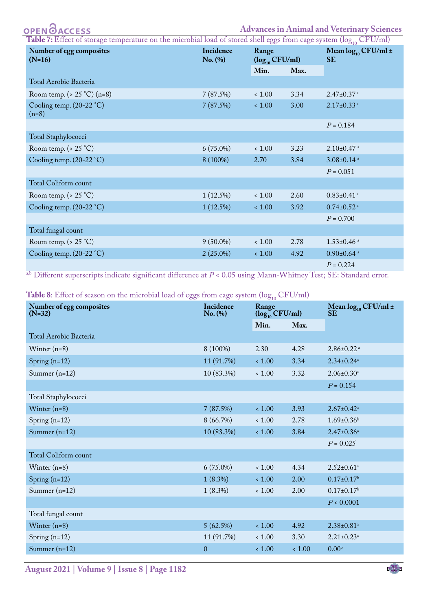| <b>PEN ØACCESS</b> |  |  |  |  |  |  |  |
|--------------------|--|--|--|--|--|--|--|
|--------------------|--|--|--|--|--|--|--|

<span id="page-6-0"></span>

| <b>Table 7:</b> Effect of storage temperature on the microbial load of stored shell eggs from cage system ( $\log_{10} CFU/ml$ ) |             |                              |      |                                           |  |  |  |  |
|----------------------------------------------------------------------------------------------------------------------------------|-------------|------------------------------|------|-------------------------------------------|--|--|--|--|
| Number of egg composites                                                                                                         | Incidence   | Range                        |      | Mean $log_{10}$ CFU/ml $\pm$<br><b>SE</b> |  |  |  |  |
| $(N=16)$                                                                                                                         | $No.$ (%)   | $(\log_{10} CFU/ml)$<br>Min. | Max. |                                           |  |  |  |  |
| Total Aerobic Bacteria                                                                                                           |             |                              |      |                                           |  |  |  |  |
| Room temp. ( $> 25$ °C) (n=8)                                                                                                    | 7(87.5%)    | $<1.00$                      | 3.34 | $2.47 \pm 0.37$ <sup>a</sup>              |  |  |  |  |
| Cooling temp. (20-22 °C)<br>$(n=8)$                                                                                              | 7(87.5%)    | ~1.00                        | 3.00 | $2.17 \pm 0.33$ <sup>a</sup>              |  |  |  |  |
|                                                                                                                                  |             |                              |      | $P = 0.184$                               |  |  |  |  |
| Total Staphylococci                                                                                                              |             |                              |      |                                           |  |  |  |  |
| Room temp. ( $> 25$ °C)                                                                                                          | $6(75.0\%)$ | ~1.00                        | 3.23 | $2.10\pm0.47$ <sup>a</sup>                |  |  |  |  |
| Cooling temp. $(20-22 \degree C)$                                                                                                | 8 (100%)    | 2.70                         | 3.84 | $3.08 \pm 0.14$ <sup>a</sup>              |  |  |  |  |
|                                                                                                                                  |             |                              |      | $P = 0.051$                               |  |  |  |  |
| Total Coliform count                                                                                                             |             |                              |      |                                           |  |  |  |  |
| Room temp. ( $> 25$ °C)                                                                                                          | 1(12.5%)    | ~1.00                        | 2.60 | $0.83 \pm 0.41$ <sup>a</sup>              |  |  |  |  |
| Cooling temp. $(20-22 \degree C)$                                                                                                | 1(12.5%)    | ~1.00                        | 3.92 | $0.74 \pm 0.52$ <sup>a</sup>              |  |  |  |  |
|                                                                                                                                  |             |                              |      | $P = 0.700$                               |  |  |  |  |
| Total fungal count                                                                                                               |             |                              |      |                                           |  |  |  |  |
| Room temp. $( > 25 °C)$                                                                                                          | $9(50.0\%)$ | ~1.00                        | 2.78 | $1.53 \pm 0.46$ <sup>a</sup>              |  |  |  |  |
| Cooling temp. (20-22 °C)                                                                                                         | $2(25.0\%)$ | ~1.00                        | 4.92 | $0.90 \pm 0.64$ <sup>a</sup>              |  |  |  |  |
|                                                                                                                                  |             |                              |      | $P = 0.224$                               |  |  |  |  |

<span id="page-6-1"></span>a,b Different superscripts indicate significant difference at *P* < 0.05 using Mann-Whitney Test; SE: Standard error.

Table 8: Effect of season on the microbial load of eggs from cage system (log<sub>10</sub> CFU/ml)

| $\smash{\cup}$<br>Number of egg composites<br>$(N=32)$ | Incidence<br>No. (%) | $\sim$ 010<br>Range<br>$(\log_{10}$ CFU/ml) |       | Mean $log_{10}$ CFU/ml $\pm$<br><b>SE</b> |  |
|--------------------------------------------------------|----------------------|---------------------------------------------|-------|-------------------------------------------|--|
|                                                        |                      | Min.                                        | Max.  |                                           |  |
| Total Aerobic Bacteria                                 |                      |                                             |       |                                           |  |
| Winter $(n=8)$                                         | 8 (100%)             | 2.30                                        | 4.28  | $2.86 \pm 0.22$ <sup>a</sup>              |  |
| Spring $(n=12)$                                        | 11 (91.7%)           | ~1.00                                       | 3.34  | $2.34 \pm 0.24$ <sup>a</sup>              |  |
| Summer $(n=12)$                                        | 10 (83.3%)           | $<1.00$                                     | 3.32  | $2.06 \pm 0.30^a$                         |  |
|                                                        |                      |                                             |       | $P = 0.154$                               |  |
| Total Staphylococci                                    |                      |                                             |       |                                           |  |
| Winter $(n=8)$                                         | 7(87.5%)             | < 1.00                                      | 3.93  | $2.67 \pm 0.42$ <sup>a</sup>              |  |
| Spring $(n=12)$                                        | 8(66.7%)             | $<1.00$                                     | 2.78  | $1.69 \pm 0.36$                           |  |
| Summer $(n=12)$                                        | 10 (83.3%)           | ~1.00                                       | 3.84  | $2.47 \pm 0.36^a$                         |  |
|                                                        |                      |                                             |       | $P = 0.025$                               |  |
| <b>Total Coliform count</b>                            |                      |                                             |       |                                           |  |
| Winter $(n=8)$                                         | $6(75.0\%)$          | < 1.00                                      | 4.34  | $2.52 \pm 0.61$ <sup>a</sup>              |  |
| Spring $(n=12)$                                        | $1(8.3\%)$           | < 1.00                                      | 2.00  | $0.17 \pm 0.17$ <sup>b</sup>              |  |
| Summer $(n=12)$                                        | $1(8.3\%)$           | < 1.00                                      | 2.00  | $0.17 \pm 0.17$ <sup>b</sup>              |  |
|                                                        |                      |                                             |       | P < 0.0001                                |  |
| Total fungal count                                     |                      |                                             |       |                                           |  |
| Winter $(n=8)$                                         | 5(62.5%)             | < 1.00                                      | 4.92  | $2.38 \pm 0.81$ <sup>a</sup>              |  |
| Spring $(n=12)$                                        | 11 (91.7%)           | < 1.00                                      | 3.30  | $2.21 \pm 0.23$ <sup>a</sup>              |  |
| Summer $(n=12)$                                        | $\mathbf{0}$         | < 1.00                                      | ~1.00 | 0.00 <sup>b</sup>                         |  |
|                                                        |                      |                                             |       |                                           |  |

**August 2021 | Volume 9 | Issue 8 | Page 1182**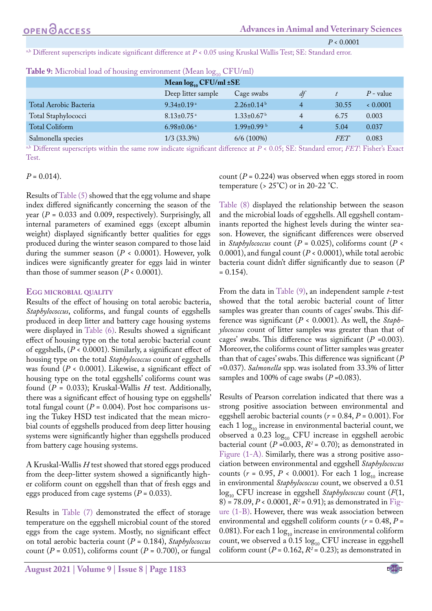*P* < 0.0001

a,b Different superscripts indicate significant difference at  $P < 0.05$  using Kruskal Wallis Test; SE: Standard error.

|                        | Mean $log_{10}$ CFU/ml $\pm$ SE |                              |    |            |             |
|------------------------|---------------------------------|------------------------------|----|------------|-------------|
|                        | Deep litter sample              | Cage swabs                   | df |            | $P$ - value |
| Total Aerobic Bacteria | $9.34 \pm 0.19$ <sup>a</sup>    | $2.26 \pm 0.14^{\mathrm{b}}$ | 4  | 30.55      | 0.0001      |
| Total Staphylococci    | $8.13 \pm 0.75$ <sup>a</sup>    | $1.33 \pm 0.67$ <sup>b</sup> | 4  | 6.75       | 0.003       |
| Total Coliform         | $6.98 \pm 0.06$ <sup>a</sup>    | $1.99 \pm 0.99$ b            | 4  | 5.04       | 0.037       |
| Salmonella species     | $1/3$ (33.3%)                   | 6/6(100%)                    |    | <i>FET</i> | 0.083       |

<span id="page-7-0"></span>

a,b Different superscripts within the same row indicate significant difference at *P* < 0.05; SE: Standard error; *FET*: Fisher's Exact Test.

#### $P = 0.014$ .

Results o[f Table \(5\)](#page-4-1) showed that the egg volume and shape index differed significantly concerning the season of the year (*P* = 0.033 and 0.009, respectively). Surprisingly, all internal parameters of examined eggs (except albumin weight) displayed significantly better qualities for eggs produced during the winter season compared to those laid during the summer season ( $P < 0.0001$ ). However, yolk indices were significantly greater for eggs laid in winter than those of summer season  $(P < 0.0001)$ .

#### **Egg microbial quality**

Results of the effect of housing on total aerobic bacteria, *Staphylococcus*, coliforms, and fungal counts of eggshells produced in deep litter and battery cage housing systems were displayed in [Table \(6\).](#page-5-0) Results showed a significant effect of housing type on the total aerobic bacterial count of eggshells, (*P* < 0.0001). Similarly, a significant effect of housing type on the total *Staphylococcus* count of eggshells was found (*P* < 0.0001). Likewise, a significant effect of housing type on the total eggshells' coliforms count was found (*P* = 0.033); Kruskal-Wallis *H* test. Additionally, there was a significant effect of housing type on eggshells' total fungal count  $(P = 0.004)$ . Post hoc comparisons using the Tukey HSD test indicated that the mean microbial counts of eggshells produced from deep litter housing systems were significantly higher than eggshells produced from battery cage housing systems.

A Kruskal-Wallis *H* test showed that stored eggs produced from the deep-litter system showed a significantly higher coliform count on eggshell than that of fresh eggs and eggs produced from cage systems (*P* = 0.033).

Results in [Table \(7\)](#page-6-0) demonstrated the effect of storage temperature on the eggshell microbial count of the stored eggs from the cage system. Mostly, no significant effect on total aerobic bacteria count (*P* = 0.184), *Staphylococcus* count ( $P = 0.051$ ), coliforms count ( $P = 0.700$ ), or fungal count (*P* = 0.224) was observed when eggs stored in room temperature ( $> 25^{\circ}$ C) or in 20-22 °C.

[Table \(8\)](#page-6-1) displayed the relationship between the season and the microbial loads of eggshells. All eggshell contaminants reported the highest levels during the winter season. However, the significant differences were observed in *Staphylococcus* count (*P* = 0.025), coliforms count (*P* < 0.0001), and fungal count (*P* < 0.0001), while total aerobic bacteria count didn't differ significantly due to season (*P*  $= 0.154$ .

From the data in [Table \(9\)](#page-7-0), an independent sample *t*-test showed that the total aerobic bacterial count of litter samples was greater than counts of cages' swabs. This difference was significant (*P* < 0.0001). As well, the *Staphylococcus* count of litter samples was greater than that of cages' swabs. This difference was significant (*P* =0.003). Moreover, the coliforms count of litter samples was greater than that of cages' swabs. This difference was significant (*P* =0.037). *Salmonella* spp. was isolated from 33.3% of litter samples and 100% of cage swabs ( $P = 0.083$ ).

Results of Pearson correlation indicated that there was a strong positive association between environmental and eggshell aerobic bacterial counts (*r* = 0.84, *P* = 0.001). For each  $1 \log_{10}$  increase in environmental bacterial count, we observed a 0.23  $log_{10}$  CFU increase in eggshell aerobic bacterial count ( $P = 0.003$ ,  $R^2 = 0.70$ ); as demonstrated in [Figure \(1-A\).](#page-9-0) Similarly, there was a strong positive association between environmental and eggshell *Staphylococcus* counts ( $r = 0.95$ ,  $P < 0.0001$ ). For each 1  $\log_{10}$  increase in environmental *Staphylococcus* count, we observed a 0.51 log<sub>10</sub> CFU increase in eggshell *Staphylococcus* count (*F*(1, 8) = 78.09,  $P < 0.0001$ ,  $R^2 = 0.91$ ); as demonstrated in [Fig](#page-9-0)[ure \(1-B\)](#page-9-0). However, there was weak association between environmental and eggshell coliform counts ( $r = 0.48$ ,  $P =$ 0.081). For each 1  $log_{10}$  increase in environmental coliform count, we observed a  $0.15 \log_{10}$  CFU increase in eggshell coliform count  $(P = 0.162, R^2 = 0.23)$ ; as demonstrated in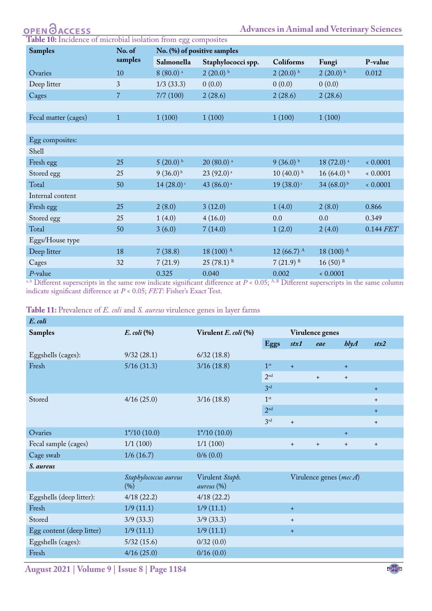| <b>OPEN ØACCESS</b> |  |  |  |
|---------------------|--|--|--|
|                     |  |  |  |

<span id="page-8-0"></span>

| <b>Table 10:</b> Incidence of microbial isolation from egg composites |  |
|-----------------------------------------------------------------------|--|
|-----------------------------------------------------------------------|--|

| <b>Samples</b>       | No. of                | No. (%) of positive samples |                         |                 |                         |             |  |  |  |
|----------------------|-----------------------|-----------------------------|-------------------------|-----------------|-------------------------|-------------|--|--|--|
|                      | samples<br>Salmonella |                             | Staphylococci spp.      | Coliforms       | Fungi                   | P-value     |  |  |  |
| Ovaries              | 10                    | $8(80.0)$ <sup>a</sup>      | $2(20.0)$ b             | $2(20.0)$ b     | $2(20.0)$ b             | 0.012       |  |  |  |
| Deep litter          | 3                     | $1/3$ (33.3)                | 0(0.0)                  | 0(0.0)          | 0(0.0)                  |             |  |  |  |
| Cages                | $\overline{7}$        | 7/7(100)                    | 2(28.6)                 | 2(28.6)         | 2(28.6)                 |             |  |  |  |
|                      |                       |                             |                         |                 |                         |             |  |  |  |
| Fecal matter (cages) | $\mathbf{1}$          | 1(100)                      | 1(100)                  | 1(100)          | 1(100)                  |             |  |  |  |
|                      |                       |                             |                         |                 |                         |             |  |  |  |
| Egg composites:      |                       |                             |                         |                 |                         |             |  |  |  |
| Shell                |                       |                             |                         |                 |                         |             |  |  |  |
| Fresh egg            | 25                    | $5(20.0)$ b                 | $20(80.0)$ <sup>a</sup> | $9(36.0)$ b     | $18(72.0)$ <sup>a</sup> | 0.0001      |  |  |  |
| Stored egg           | 25                    | $9(36.0)^{b}$               | 23 (92.0) <sup>a</sup>  | $10(40.0)$ b    | $16(64.0)$ b            | 0.0001      |  |  |  |
| Total                | 50                    | $14(28.0)$ <sup>c</sup>     | 43 (86.0) <sup>a</sup>  | 19(38.0)        | $34(68.0)^{b}$          | 0.0001      |  |  |  |
| Internal content     |                       |                             |                         |                 |                         |             |  |  |  |
| Fresh egg            | 25                    | 2(8.0)                      | 3(12.0)                 | 1(4.0)          | 2(8.0)                  | 0.866       |  |  |  |
| Stored egg           | 25                    | 1(4.0)                      | 4(16.0)                 | 0.0             | 0.0                     | 0.349       |  |  |  |
| Total                | 50                    | 3(6.0)                      | 7(14.0)                 | 1(2.0)          | 2(4.0)                  | $0.144$ FET |  |  |  |
| Eggs/House type      |                       |                             |                         |                 |                         |             |  |  |  |
| Deep litter          | 18                    | 7(38.8)                     | 18 (100) A              | 12 $(66.7)^{A}$ | 18 (100) A              |             |  |  |  |
| Cages                | 32                    | 7(21.9)                     | $25(78.1)^{B}$          | $7(21.9)^{B}$   | $16(50)$ <sup>B</sup>   |             |  |  |  |
| $P$ -value           |                       | 0.325                       | 0.040                   | 0.002           | 0.0001                  |             |  |  |  |

a, b Different superscripts in the same row indicate significant difference at *P* < 0.05; A, B Different superscripts in the same column indicate significant difference at *P* < 0.05; *FET*: Fisher's Exact Test.

<span id="page-8-1"></span>

|  |  |  | <b>Table 11:</b> Prevalence of <i>E. coli</i> and <i>S. aureus</i> virulence genes in layer farms |  |  |  |  |  |  |  |  |  |  |  |
|--|--|--|---------------------------------------------------------------------------------------------------|--|--|--|--|--|--|--|--|--|--|--|
|--|--|--|---------------------------------------------------------------------------------------------------|--|--|--|--|--|--|--|--|--|--|--|

| E. coli                   |                              |                               |                 |                                  |                                  |         |                                  |  |  |
|---------------------------|------------------------------|-------------------------------|-----------------|----------------------------------|----------------------------------|---------|----------------------------------|--|--|
| <b>Samples</b>            | $E.$ coli $\left(\% \right)$ | Virulent E. coli (%)          | Virulence genes |                                  |                                  |         |                                  |  |  |
|                           |                              |                               | Eggs            | stx1                             | eae                              | h l y A | stx2                             |  |  |
| Eggshells (cages):        | 9/32(28.1)                   | 6/32(18.8)                    |                 |                                  |                                  |         |                                  |  |  |
| Fresh                     | 5/16(31.3)                   | 3/16(18.8)                    | 1 <sup>st</sup> | $+$                              |                                  | $+$     |                                  |  |  |
|                           |                              |                               | $2^{\rm nd}$    |                                  | $+$                              | $+$     |                                  |  |  |
|                           |                              |                               | 3 <sup>rd</sup> |                                  |                                  |         | $+$                              |  |  |
| Stored                    | 4/16(25.0)                   | 3/16(18.8)                    | 1 <sup>st</sup> |                                  |                                  |         | $+$                              |  |  |
|                           |                              |                               | 2 <sup>nd</sup> |                                  |                                  |         | $+$                              |  |  |
|                           |                              |                               | 3 <sup>rd</sup> | $+$                              |                                  |         | $+$                              |  |  |
| Ovaries                   | $1*/10(10.0)$                | $1*/10(10.0)$                 |                 |                                  |                                  | $+$     |                                  |  |  |
| Fecal sample (cages)      | 1/1(100)                     | 1/1(100)                      |                 | $+$                              | $+$                              | $+$     | $\begin{array}{c} + \end{array}$ |  |  |
| Cage swab                 | 1/6(16.7)                    | 0/6(0.0)                      |                 |                                  |                                  |         |                                  |  |  |
| S. aureus                 |                              |                               |                 |                                  |                                  |         |                                  |  |  |
|                           | Staphylococcus aureus<br>(%) | Virulent Staph.<br>aureus (%) |                 |                                  | Virulence genes (mec $\Lambda$ ) |         |                                  |  |  |
| Eggshells (deep litter):  | 4/18(22.2)                   | 4/18(22.2)                    |                 |                                  |                                  |         |                                  |  |  |
| Fresh                     | 1/9(11.1)                    | 1/9(11.1)                     |                 | $+$                              |                                  |         |                                  |  |  |
| Stored                    | 3/9(33.3)                    | 3/9(33.3)                     |                 | $\begin{array}{c} + \end{array}$ |                                  |         |                                  |  |  |
| Egg content (deep litter) | 1/9(11.1)                    | 1/9(11.1)                     |                 | $+$                              |                                  |         |                                  |  |  |
| Eggshells (cages):        | 5/32(15.6)                   | 0/32(0.0)                     |                 |                                  |                                  |         |                                  |  |  |
| Fresh                     | 4/16(25.0)                   | 0/16(0.0)                     |                 |                                  |                                  |         |                                  |  |  |
|                           |                              |                               |                 |                                  |                                  |         |                                  |  |  |

**August 2021 | Volume 9 | Issue 8 | Page 1184**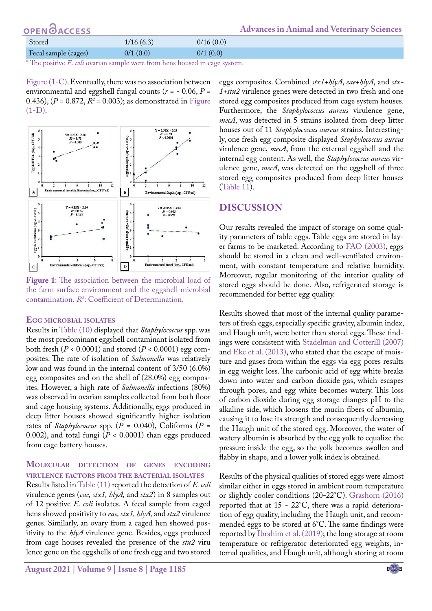| <b>OPENOACCESS</b>   |           |           | <b>Advances in Animal and Veterinary Sciences</b> |
|----------------------|-----------|-----------|---------------------------------------------------|
| Stored               | 1/16(6.3) | 0/16(0.0) |                                                   |
| Fecal sample (cages) | 0/1(0.0)  | 0/1(0.0)  |                                                   |

\* The positive *E. coli* ovarian sample were from hens housed in cage system.

[Figure \(1-C\).](#page-9-0) Eventually, there was no association between environmental and eggshell fungal counts ( $r = -0.06$ ,  $P =$ 0.436),  $(P = 0.872, R^2 = 0.003)$ ; as demonstrated in [Figure](#page-9-0)  $(1-D)$ .



<span id="page-9-0"></span>**Figure 1**: The association between the microbial load of the farm surface environment and the eggshell microbial contamination. *R2* : Coefficient of Determination.

#### **Egg microbial isolates**

Results in [Table \(10\)](#page-8-0) displayed that *Staphylococcus* spp. was the most predominant eggshell contaminant isolated from both fresh ( $P < 0.0001$ ) and stored ( $P < 0.0001$ ) egg composites. The rate of isolation of *Salmonella* was relatively low and was found in the internal content of 3/50 (6.0%) egg composites and on the shell of (28.0%) egg composites. However, a high rate of *Salmonella* infections (80%) was observed in ovarian samples collected from both floor and cage housing systems. Additionally, eggs produced in deep litter houses showed significantly higher isolation rates of *Staphylococcus* spp. (*P* = 0.040), Coliforms (*P* = 0.002), and total fungi (*P* < 0.0001) than eggs produced from cage battery houses.

#### **Molecular detection of genes encoding virulence factors from the bacterial isolates**

Results listed in [Table \(11\)](#page-8-1) reported the detection of *E. coli* virulence genes (*eae, stx1, hlyA,* and *stx2*) in 8 samples out of 12 positive *E. coli* isolates. A fecal sample from caged hens showed positivity to *eae, stx1, hlyA,* and *stx2* virulence genes. Similarly, an ovary from a caged hen showed positivity to the *hlyA* virulence gene. Besides, eggs produced from cage houses revealed the presence of the *stx2* viru lence gene on the eggshells of one fresh egg and two stored

**August 2021 | Volume 9 | Issue 8 | Page 1185**

eggs composites. Combined *stx1*+*hlyA*, *eae*+*hlyA*, and *stx-1*+*stx2* virulence genes were detected in two fresh and one stored egg composites produced from cage system houses. Furthermore, the *Staphylococcus aureus* virulence gene, *mecA*, was detected in 5 strains isolated from deep litter houses out of 11 *Staphylococcus aureus* strains. Interestingly, one fresh egg composite displayed *Staphylococcus aureus* virulence gene, *mecA*, from the external eggshell and the internal egg content. As well, the *Staphylococcus aureus* virulence gene, *mecA*, was detected on the eggshell of three stored egg composites produced from deep litter houses ([Table 11](#page-8-1)).

## **DISCUSSION**

Our results revealed the impact of storage on some quality parameters of table eggs. Table eggs are stored in layer farms to be marketed. According t[o FAO \(2003\),](#page-12-11) eggs should be stored in a clean and well-ventilated environment, with constant temperature and relative humidity. Moreover, regular monitoring of the interior quality of stored eggs should be done. Also, refrigerated storage is recommended for better egg quality.

Results showed that most of the internal quality parameters of fresh eggs, especially specific gravity, albumin index, and Haugh unit, were better than stored eggs. These findings were consistent with [Stadelman and Cotterill \(2007\)](#page-13-3) and [Eke et al. \(2013\),](#page-12-12) who stated that the escape of moisture and gases from within the eggs via egg pores results in egg weight loss. The carbonic acid of egg white breaks down into water and carbon dioxide gas, which escapes through pores, and egg white becomes watery. This loss of carbon dioxide during egg storage changes pH to the alkaline side, which loosens the mucin fibers of albumin, causing it to lose its strength and consequently decreasing the Haugh unit of the stored egg. Moreover, the water of watery albumin is absorbed by the egg yolk to equalize the pressure inside the egg, so the yolk becomes swollen and flabby in shape, and a lower yolk index is obtained.

Results of the physical qualities of stored eggs were almost similar either in eggs stored in ambient room temperature or slightly cooler conditions (20-22°C). [Grashorn \(2016\)](#page-12-13) reported that at 15 - 22°C, there was a rapid deterioration of egg quality, including the Haugh unit, and recommended eggs to be stored at 6°C. The same findings were reported by [Ibrahim et al. \(2019\)](#page-12-14); the long storage at room temperature or refrigerator deteriorated egg weights, internal qualities, and Haugh unit, although storing at room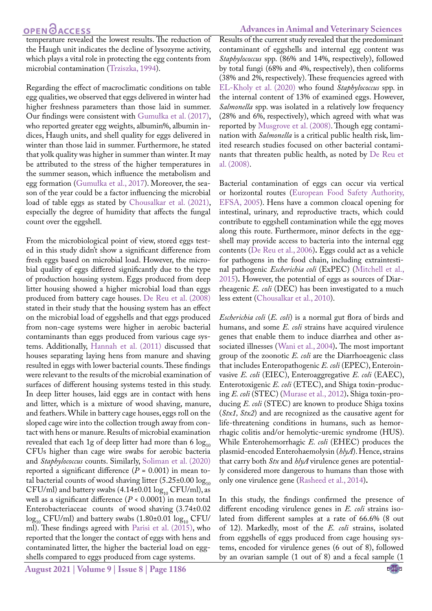temperature revealed the lowest results. The reduction of the Haugh unit indicates the decline of lysozyme activity, which plays a vital role in protecting the egg contents from microbial contamination ([Trziszka, 1994\)](#page-13-4).

Regarding the effect of macroclimatic conditions on table egg qualities, we observed that eggs delivered in winter had higher freshness parameters than those laid in summer. Our findings were consistent with Gumułka et al. (2017), who reported greater egg weights, albumin%, albumin indices, Haugh units, and shell quality for eggs delivered in winter than those laid in summer. Furthermore, he stated that yolk quality was higher in summer than winter. It may be attributed to the stress of the higher temperatures in the summer season, which influence the metabolism and egg formation (Gumułka et al., 2017). Moreover, the season of the year could be a factor influencing the microbial load of table eggs as stated by [Chousalkar et al. \(2021\)](#page-12-15), especially the degree of humidity that affects the fungal count over the eggshell.

From the microbiological point of view, stored eggs tested in this study didn't show a significant difference from fresh eggs based on microbial load. However, the microbial quality of eggs differed significantly due to the type of production housing system. Eggs produced from deep litter housing showed a higher microbial load than eggs produced from battery cage houses. [De Reu et al. \(2008\)](#page-12-5) stated in their study that the housing system has an effect on the microbial load of eggshells and that eggs produced from non-cage systems were higher in aerobic bacterial contaminants than eggs produced from various cage systems. Additionally, [Hannah et al. \(2011\)](#page-12-1) discussed that houses separating laying hens from manure and shaving resulted in eggs with lower bacterial counts. These findings were relevant to the results of the microbial examination of surfaces of different housing systems tested in this study. In deep litter houses, laid eggs are in contact with hens and litter, which is a mixture of wood shaving, manure, and feathers. While in battery cage houses, eggs roll on the sloped cage wire into the collection trough away from contact with hens or manure. Results of microbial examination revealed that each 1g of deep litter had more than 6  $log_{10}$ CFUs higher than cage wire swabs for aerobic bacteria and *Staphylococcus* counts. Similarly, [Soliman et al. \(2020\)](#page-13-5) reported a significant difference  $(P = 0.001)$  in mean total bacterial counts of wood shaving litter  $(5.25\pm0.00 \log_{10}$ CFU/ml) and battery swabs  $(4.14\pm0.01 \log_{10} CFU/ml)$ , as well as a significant difference (*P* < 0.0001) in mean total Enterobacteriaceae counts of wood shaving (3.74±0.02  $\log_{10}$  CFU/ml) and battery swabs (1.80±0.01  $\log_{10}$  CFU/ ml). These findings agreed with [Parisi et al. \(2015\)](#page-12-16), who reported that the longer the contact of eggs with hens and contaminated litter, the higher the bacterial load on eggshells compared to eggs produced from cage systems.

**August 2021 | Volume 9 | Issue 8 | Page 1186**

#### **Advances in Animal and Veterinary Sciences**

Results of the current study revealed that the predominant contaminant of eggshells and internal egg content was *Staphylococcus* spp. (86% and 14%, respectively), followed by total fungi (68% and 4%, respectively), then coliforms (38% and 2%, respectively). These frequencies agreed with [EL-Kholy et al. \(2020\)](#page-12-17) who found *Staphylococcus* spp. in the internal content of 13% of examined eggs. However, *Salmonella* spp. was isolated in a relatively low frequency (28% and 6%, respectively), which agreed with what was reported by [Musgrove et al. \(2008\).](#page-12-18) Though egg contamination with *Salmonella* is a critical public health risk, limited research studies focused on other bacterial contaminants that threaten public health, as noted by [De Reu et](#page-12-5) [al. \(2008\).](#page-12-5)

Bacterial contamination of eggs can occur via vertical or horizontal routes ([European Food Safety Authority,](#page-12-19) [EFSA, 2005](#page-12-19)). Hens have a common cloacal opening for intestinal, urinary, and reproductive tracts, which could contribute to eggshell contamination while the egg moves along this route. Furthermore, minor defects in the eggshell may provide access to bacteria into the internal egg contents ([De Reu et al., 2006\)](#page-12-4)**.** Eggs could act as a vehicle for pathogens in the food chain, including extraintestinal pathogenic *Escherichia coli* (ExPEC) ([Mitchell et al.,](#page-12-20) [2015](#page-12-20))**.** However, the potential of eggs as sources of Diarrheagenic *E. coli* (DEC) has been investigated to a much less extent ([Chousalkar et al., 2010](#page-12-21)).

*Escherichia coli* (*E. coli*) is a normal gut flora of birds and humans, and some *E. coli* strains have acquired virulence genes that enable them to induce diarrhea and other associated illnesses ([Wani et al., 2004](#page-13-6))**.** The most important group of the zoonotic *E. coli* are the Diarrhoeagenic class that includes Enteropathogenic *E. coli* (EPEC), Enteroinvasive *E. coli* (EIEC), Enteroaggregative *E. coli* (EAEC), Enterotoxigenic *E. coli* (ETEC), and Shiga toxin-producing *E. coli* (STEC) ([Murase et al., 2012](#page-12-22))**.** Shiga toxin-producing *E. coli* (STEC) are known to produce Shiga toxins (*Stx1, Stx2*) and are recognized as the causative agent for life-threatening conditions in humans, such as hemorrhagic colitis and/or hemolytic-uremic syndrome (HUS). While Enterohemorrhagic *E. coli* (EHEC) produces the plasmid-encoded Enterohaemolysin (*hlyA*). Hence, strains that carry both *Stx* and *hlyA* virulence genes are potentially considered more dangerous to humans than those with only one virulence gene [\(Rasheed et al., 2014\)](#page-12-23)**.**

In this study, the findings confirmed the presence of different encoding virulence genes in *E. coli* strains isolated from different samples at a rate of 66.6% (8 out of 12). Markedly, most of the *E. coli* strains, isolated from eggshells of eggs produced from cage housing systems, encoded for virulence genes (6 out of 8), followed by an ovarian sample (1 out of 8) and a fecal sample (1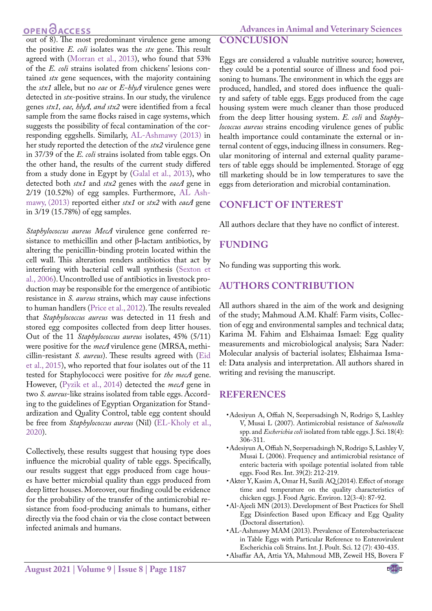out of 8). The most predominant virulence gene among the positive *E. coli* isolates was the *stx* gene. This result agreed with [\(Morran et al., 2013\)](#page-12-24), who found that 53% of the *E. coli* strains isolated from chickens' lesions contained *stx* gene sequences, with the majority containing the *stx1* allele, but no *eae* or *E-hlyA* virulence genes were detected in *stx*-positive strains. In our study, the virulence genes *stx1, eae, hlyA, and stx2* were identified from a fecal sample from the same flocks raised in cage systems, which suggests the possibility of fecal contamination of the corresponding eggshells. Similarly, [AL-Ashmawy \(2013\)](#page-11-4) in her study reported the detection of the *stx2* virulence gene in 37/39 of the *E. coli* strains isolated from table eggs. On the other hand, the results of the current study differed from a study done in Egypt by ([Galal et al., 2013](#page-12-25)), who detected both *stx1* and *stx2* genes with the *eaeA* gene in 2/19 (10.52%) of egg samples. Furthermore, [AL Ash](#page-11-4)[mawy, \(2013\)](#page-11-4) reported either *stx1* or *stx2* with *eaeA* gene in 3/19 (15.78%) of egg samples.

*Staphylococcus aureus MecA*  virulence gene conferred resistance to methicillin and other β-lactam antibiotics, by altering the penicillin-binding protein located within the cell wall. This alteration renders antibiotics that act by interfering with bacterial cell wall synthesis (Sexton et al., 2006). Uncontrolled use of antibiotics in livestock production may be responsible for the emergence of antibiotic resistance in *S. aureus* strains, which may cause infections to human handlers [\(Price et al., 2012\)](#page-12-26). The results revealed that *Staphylococcus aureus* was detected in 11 fresh and stored egg composites collected from deep litter houses. Out of the 11 *Staphylococcus aureus* isolates, 45% (5/11) were positive for the *mecA* virulence gene (MRSA, methicillin-resistant *S. aureus*). These results agreed with ([Eid](#page-12-27) [et al., 2015](#page-12-27)), who reported that four isolates out of the 11 tested for Staphylococci were positive for *the mecA* gene. However, ([Pyzik et al., 2014\)](#page-12-28) detected the *mecA* gene in two *S. aureus*-like strains isolated from table eggs. According to the guidelines of Egyptian Organization for Standardization and Quality Control, table egg content should be free from *Staphylococcus aureus* (Nil) [\(EL-Kholy et al.,](#page-12-17) [2020](#page-12-17)).

Collectively, these results suggest that housing type does influence the microbial quality of table eggs. Specifically, our results suggest that eggs produced from cage houses have better microbial quality than eggs produced from deep litter houses. Moreover, our finding could be evidence for the probability of the transfer of the antimicrobial resistance from food-producing animals to humans, either directly via the food chain or via the close contact between infected animals and humans.

## **Advances in Animal and Veterinary Sciences CONCLUSION**

Eggs are considered a valuable nutritive source; however, they could be a potential source of illness and food poisoning to humans. The environment in which the eggs are produced, handled, and stored does influence the quality and safety of table eggs. Eggs produced from the cage housing system were much cleaner than those produced from the deep litter housing system. *E. coli* and *Staphylococcus aureus* strains encoding virulence genes of public health importance could contaminate the external or internal content of eggs, inducing illness in consumers. Regular monitoring of internal and external quality parameters of table eggs should be implemented. Storage of egg till marketing should be in low temperatures to save the eggs from deterioration and microbial contamination.

# **CONFLICT OF INTEREST**

All authors declare that they have no conflict of interest.

## **Funding**

No funding was supporting this work.

## **AUTHORS CONTRIBUTION**

All authors shared in the aim of the work and designing of the study; Mahmoud A.M. Khalf: Farm visits, Collection of egg and environmental samples and technical data; Karima M. Fahim and Elshaimaa Ismael: Egg quality measurements and microbiological analysis; Sara Nader: Molecular analysis of bacterial isolates; Elshaimaa Ismael: Data analysis and interpretation. All authors shared in writing and revising the manuscript.

## **REFERENCES**

- • Adesiyun A, Offiah N, Seepersadsingh N, Rodrigo S, Lashley V, Musai L (2007). Antimicrobial resistance of *Salmonella* spp. and *Escherichia coli* isolated from table eggs. J. Sci. 18(4): 306-311.
- <span id="page-11-1"></span>• Adesiyun A, Offiah N, Seepersadsingh N, Rodrigo S, Lashley V, Musai L (2006). Frequency and antimicrobial resistance of enteric bacteria with spoilage potential isolated from table eggs. Food Res. Int. 39(2): 212-219.
- <span id="page-11-0"></span>• Akter Y, Kasim A, Omar H, Sazili AQ (2014). Effect of storage time and temperature on the quality characteristics of chicken eggs. J. Food Agric. Environ. 12(3-4): 87-92.
- <span id="page-11-3"></span>• Al-Ajeeli MN (2013). Development of Best Practices for Shell Egg Disinfection Based upon Efficacy and Egg Quality (Doctoral dissertation).
- <span id="page-11-4"></span>• AL-Ashmawy MAM (2013). Prevalence of Enterobacteriaceae in Table Eggs with Particular Reference to Enterovirulent Escherichia coli Strains. Int. J. Poult. Sci. 12 (7): 430-435.
- <span id="page-11-2"></span>• Alsaffar AA, Attia YA, Mahmoud MB, Zeweil HS, Bovera F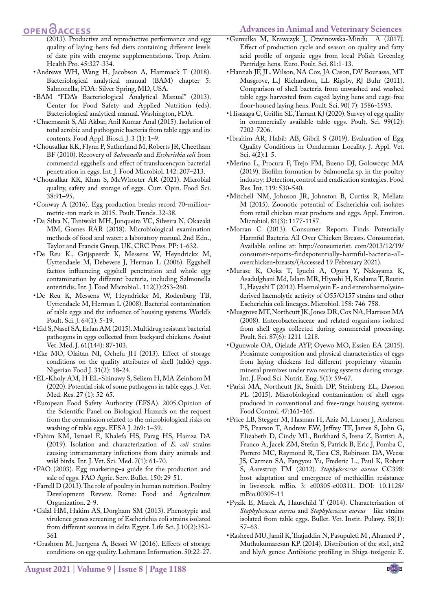#### **Advances in Animal and Veterinary Sciences**

# OPEN OACCESS

- (2013). Productive and reproductive performance and egg quality of laying hens fed diets containing different levels of date pits with enzyme supplementations. Trop. Anim. Health Pro. 45:327-334.
- <span id="page-12-10"></span>• Andrews WH, Wang H, Jacobson A, Hammack T (2018). Bacteriological analytical manual (BAM) chapter 5: Salmonella; FDA: Silver Spring, MD, USA.
- • BAM "FDA's Bacteriological Analytical Manual" (2013). Center for Food Safety and Applied Nutrition (eds). Bacteriological analytical manual. Washington, FDA.
- <span id="page-12-6"></span>• Chaemsanit S, Ali Akbar, Anil Kumar Anal (2015). Isolation of total aerobic and pathogenic bacteria from table eggs and its contents. Food Appl. Biosci. J. 3 (1): 1–9.
- <span id="page-12-21"></span>• Chousalkar KK, Flynn P, Sutherland M, Roberts JR, Cheetham BF (2010). Recovery of *Salmonella* and *Escherichia coli* from commercial eggshells and effect of translucencyon bacterial penetration in eggs. Int. J. Food Microbiol. 142: 207–213.
- <span id="page-12-15"></span>• Chousalkar KK, Khan S, McWhorter AR (2021). Microbial quality, safety and storage of eggs. Curr. Opin. Food Sci. 38:91–95.
- <span id="page-12-0"></span>• Conway A (2016). Egg production breaks record 70-millionmetric-ton mark in 2015. Poult. Trends. 32-38.
- <span id="page-12-9"></span>• Da Silva N, Taniwaki MH, Junqueira VC, Silveira N, Okazaki MM, Gomes RAR (2018). Microbiological examination methods of food and water: a laboratory manual. 2nd Edn., Taylor and Francis Group, UK, CRC Press. PP: 1-632.
- <span id="page-12-4"></span>• De Reu K., Grijspeerdt K, Messens W, Heyndrickx M, Uyttendaele M, Debevere J, Herman L (2006). Eggshell factors influencing eggshell penetration and whole egg contamination by different bacteria, including Salmonella enteritidis. Int. J. Food Microbiol.. 112(3):253-260.
- <span id="page-12-5"></span>• De Reu K, Messens W, Heyndrickx M, Rodenburg TB, Uyttendaele M, Herman L (2008). Bacterial contamination of table eggs and the influence of housing systems. World's Poult. Sci. J. 64(1): 5-19.
- <span id="page-12-27"></span>• Eid S, Nasef SA, Erfan AM (2015). Multidrug resistant bacterial pathogens in eggs collected from backyard chickens. Assiut Vet. Med. J. 61(144): 87-103.
- <span id="page-12-12"></span>• Eke MO, Olaitan NI, Ochefu JH (2013). Effect of storage conditions on the quality attributes of shell (table) eggs. Nigerian Food J. 31(2): 18-24.
- <span id="page-12-17"></span>• EL-Kholy AM, H EL-Shinawy S, Seliem H, MA Zeinhom M (2020). Potential risk of some pathogens in table eggs. J. Vet. Med. Res. 27 (1): 52-65.
- <span id="page-12-19"></span>• European Food Safety Authority (EFSA). 2005.Opinion of the Scientific Panel on Biological Hazards on the request from the commission related to the microbiological risks on washing of table eggs. EFSA J. 269: 1–39.
- <span id="page-12-8"></span>• Fahim KM, Ismael E, Khalefa HS, Farag HS, Hamza DA (2019). Isolation and characterization of *E. coli* strains causing intramammary infections from dairy animals and wild birds. Int. J. Vet. Sci. Med. 7(1): 61-70.
- <span id="page-12-11"></span>• FAO (2003). Egg marketing–a guide for the production and sale of eggs. FAO Agric. Serv. Bullet. 150: 29-51.
- Farrell D (2013). The role of poultry in human nutrition. Poultry Development Review. Rome: Food and Agriculture Organization. 2-9.
- <span id="page-12-25"></span>• Galal HM, Hakim AS, Dorgham SM (2013). Phenotypic and virulence genes screening of Escherichia coli strains isolated from different sources in delta Egypt. Life Sci. J.10(2):352- 361
- <span id="page-12-13"></span>• Grashorn M, Juergens A, Bessei W (2016). Effects of storage conditions on egg quality. Lohmann Information. 50:22-27.
- • Gumułka M, Krawczyk J, Otwinowska-Mindu A (2017). Effect of production cycle and season on quality and fatty acid profile of organic eggs from local Polish Greenleg Partridge hens. Euro. Poult. Sci. 81:1-13.
- <span id="page-12-1"></span>• Hannah JF, JL. Wilson, NA Cox, JA Cason, DV Bourassa, MT Musgrove, L.J Richardson, LL Rigsby, RJ Buhr (2011). Comparison of shell bacteria from unwashed and washed table eggs harvested from caged laying hens and cage-free floor-housed laying hens. Poult. Sci. 90( 7): 1586-1593.
- <span id="page-12-7"></span>• Hisasaga C, Griffin SE, Tarrant KJ (2020). Survey of egg quality in commercially available table eggs. Poult. Sci. 99(12): 7202-7206.
- <span id="page-12-14"></span>• Ibrahim AR, Habib AB, Gibril S (2019). Evaluation of Egg Quality Conditions in Omdurman Locality. J. Appl. Vet. Sci. 4(2):1-5.
- <span id="page-12-3"></span>• Merino L, Procura F, Trejo FM, Bueno DJ, Golowczyc MA (2019). Biofilm formation by Salmonella sp. in the poultry industry: Detection, control and eradication strategies. Food Res. Int. 119: 530-540.
- <span id="page-12-20"></span>• Mitchell NM, Johnson JR, Johnston B, Curtiss R, Mellata M (2015). Zoonotic potential of Escherichia coli isolates from retail chicken meat products and eggs. Appl. Environ. Microbiol. 81(3): 1177-1187.
- <span id="page-12-24"></span>• Morran C (2013). Consumer Reports Finds Potentially Harmful Bacteria All Over Chicken Breasts. Consumerist. Available online at: [http://consumerist](http://consumerist ). com/2013/12/19/ consumer-reports-findspotentially-harmful-bacteria-alloverchicken-breasts/(Accessed 19 Febreuary 2021).
- <span id="page-12-22"></span>• Murase K, Ooka T, Iguchi A, Ogura Y, Nakayama K, Asadulghani Md, Islam MR, Hiyoshi H, Kodama T, Beutin L, Hayashi T (2012). Haemolysin E- and enterohaemolysinderived haemolytic activity of O55/O157 strains and other Escherichia coli lineages. Microbiol. 158: 746-758.
- <span id="page-12-18"></span>• Musgrove MT, Northcutt JK, Jones DR, Cox NA, Harrison MA (2008). Enterobacteriaceae and related organisms isolated from shell eggs collected during commercial processing. Poult. Sci. 87(6): 1211-1218.
- <span id="page-12-2"></span>• Ogunwole OA, Ojelade AYP, Oyewo MO, Essien EA (2015). Proximate composition and physical characteristics of eggs from laying chickens fed different proprietary vitaminmineral premixes under two rearing systems during storage. Int. J. Food Sci. Nutrit. Eng. 5(1): 59-67.
- <span id="page-12-16"></span>• Parisi MA, Northcutt JK, Smith DP, Steinberg EL, Dawson PL (2015). Microbiological contamination of shell eggs produced in conventional and free-range housing systems. Food Control. 47:161-165.
- <span id="page-12-26"></span>• Price LB, Stegger M, Hasman H, Aziz M, Larsen J, Andersen PS, Pearson T, Andrew EW, Jeffrey TF, James S, John G, Elizabeth D, Cindy ML, Burkhard S, Irena Z, Battisti A, Franco A, Jacek ZM, Stefan S, Patrick B, Eric J, Pomba C, Porrero MC, Raymond R, Tara CS, Robinson DA, Weese JS, Carmen SA, Fangyou Yu, Frederic L., Paul K, Robert S, Aarestrup FM (2012). *Staphylococcus aureus* CC398: host adaptation and emergence of methicillin resistance in livestock. mBio. 3: e00305-e00311. DOI: 10.1128/ mBio.00305-11
- <span id="page-12-28"></span>• Pyzik E, Marek A, Hauschild T (2014). Characterisation of *Staphylococcus aureus* and *Staphylococcus aureus* – like strains isolated from table eggs. Bullet. Vet. Instit. Pulawy. 58(1): 57–63.
- <span id="page-12-23"></span>• Rasheed MU, Jamil K, Thajuddin N, Pasupuleti M , Ahamed P , Muthukumaresan KP. (2014). Distribution of the stx1, stx2 and hlyA genes: Antibiotic profiling in Shiga-toxigenic E.